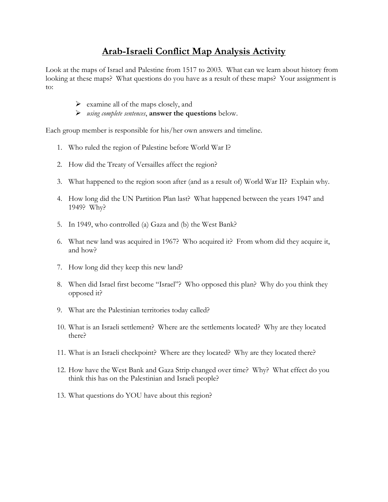### **Arab-Israeli Conflict Map Analysis Activity**

Look at the maps of Israel and Palestine from 1517 to 2003. What can we learn about history from looking at these maps? What questions do you have as a result of these maps? Your assignment is to:

- $\triangleright$  examine all of the maps closely, and
- *using complete sentences*, **answer the questions** below.

Each group member is responsible for his/her own answers and timeline.

- 1. Who ruled the region of Palestine before World War I?
- 2. How did the Treaty of Versailles affect the region?
- 3. What happened to the region soon after (and as a result of) World War II? Explain why.
- 4. How long did the UN Partition Plan last? What happened between the years 1947 and 1949? Why?
- 5. In 1949, who controlled (a) Gaza and (b) the West Bank?
- 6. What new land was acquired in 1967? Who acquired it? From whom did they acquire it, and how?
- 7. How long did they keep this new land?
- 8. When did Israel first become "Israel"? Who opposed this plan? Why do you think they opposed it?
- 9. What are the Palestinian territories today called?
- 10. What is an Israeli settlement? Where are the settlements located? Why are they located there?
- 11. What is an Israeli checkpoint? Where are they located? Why are they located there?
- 12. How have the West Bank and Gaza Strip changed over time? Why? What effect do you think this has on the Palestinian and Israeli people?
- 13. What questions do YOU have about this region?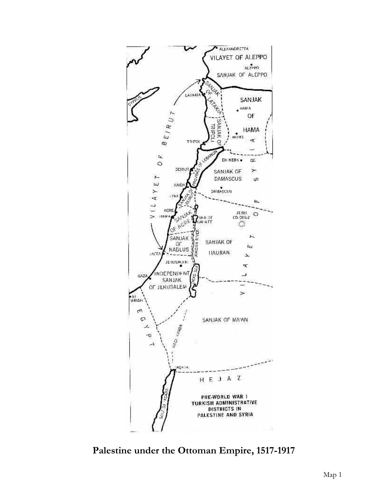

**Palestine under the Ottoman Empire, 1517-1917**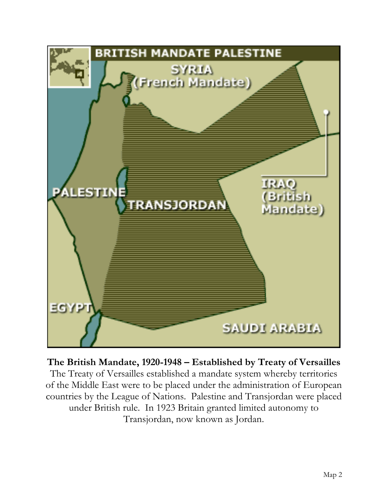

**The British Mandate, 1920-1948 – Established by Treaty of Versailles**

The Treaty of Versailles established a mandate system whereby territories of the Middle East were to be placed under the administration of European countries by the League of Nations. Palestine and Transjordan were placed under British rule. In 1923 Britain granted limited autonomy to Transjordan, now known as Jordan.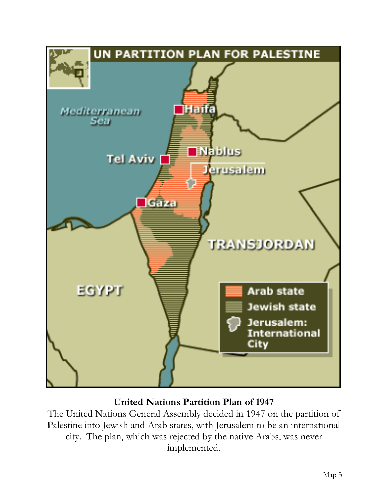

# **United Nations Partition Plan of 1947**

The United Nations General Assembly decided in 1947 on the partition of Palestine into Jewish and Arab states, with Jerusalem to be an international city. The plan, which was rejected by the native Arabs, was never implemented.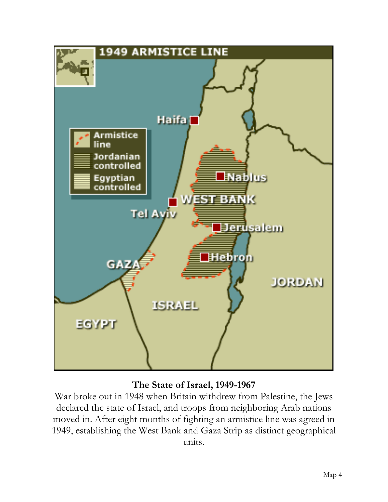

### **The State of Israel, 1949-1967**

War broke out in 1948 when Britain withdrew from Palestine, the Jews declared the state of Israel, and troops from neighboring Arab nations moved in. After eight months of fighting an armistice line was agreed in 1949, establishing the West Bank and Gaza Strip as distinct geographical units.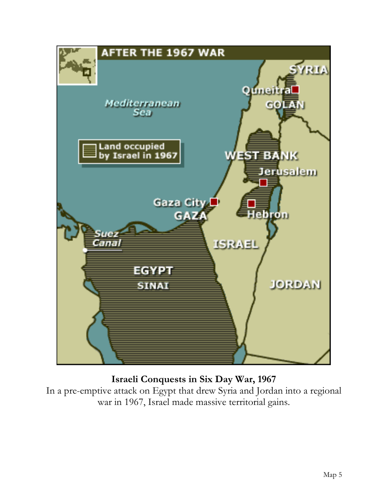

# **Israeli Conquests in Six Day War, 1967**

In a pre-emptive attack on Egypt that drew Syria and Jordan into a regional war in 1967, Israel made massive territorial gains.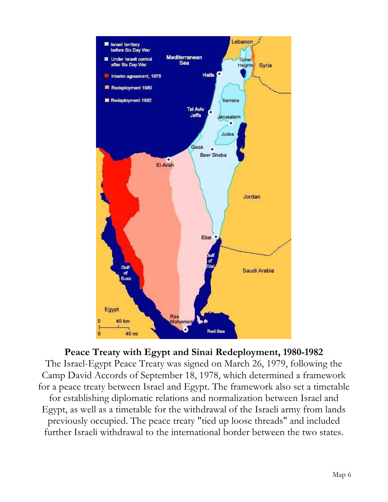

#### **Peace Treaty with Egypt and Sinai Redeployment, 1980-1982**

The Israel-Egypt Peace Treaty was signed on March 26, 1979, following the Camp David Accords of September 18, 1978, which determined a framework for a peace treaty between Israel and Egypt. The framework also set a timetable for establishing diplomatic relations and normalization between Israel and Egypt, as well as a timetable for the withdrawal of the Israeli army from lands previously occupied. The peace treaty "tied up loose threads" and included further Israeli withdrawal to the international border between the two states.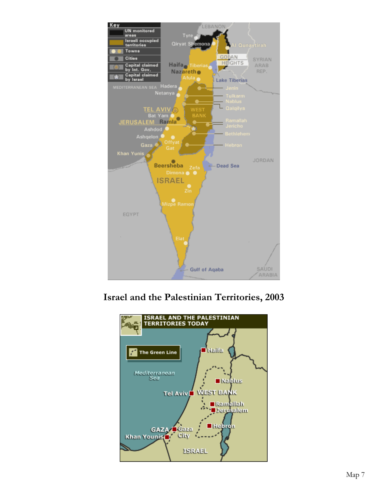

**Israel and the Palestinian Territories, 2003**

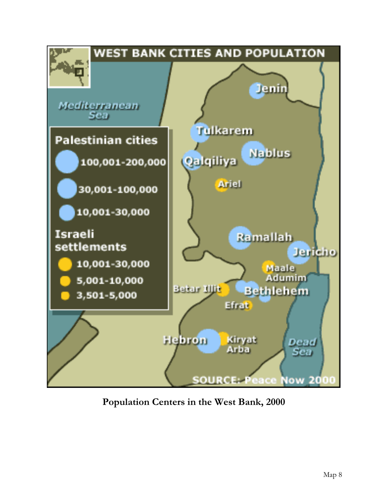

**Population Centers in the West Bank, 2000**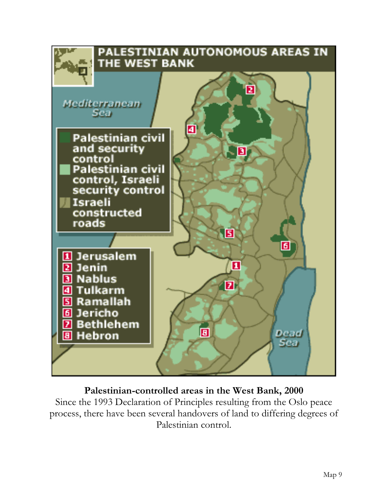

### **Palestinian-controlled areas in the West Bank, 2000**

Since the 1993 Declaration of Principles resulting from the Oslo peace process, there have been several handovers of land to differing degrees of Palestinian control.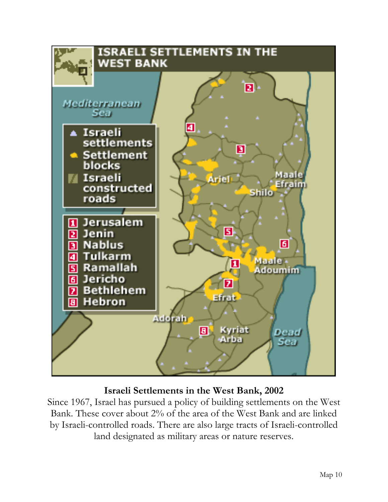

### **Israeli Settlements in the West Bank, 2002**

Since 1967, Israel has pursued a policy of building settlements on the West Bank. These cover about 2% of the area of the West Bank and are linked by Israeli-controlled roads. There are also large tracts of Israeli-controlled land designated as military areas or nature reserves.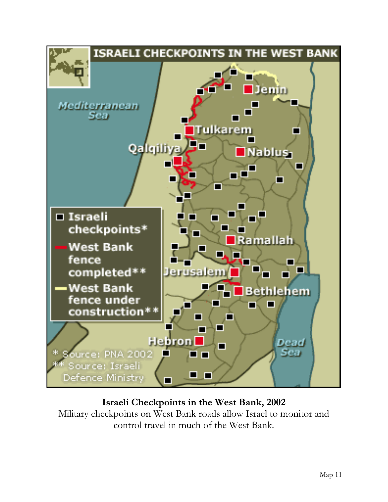

### **Israeli Checkpoints in the West Bank, 2002**

Military checkpoints on West Bank roads allow Israel to monitor and control travel in much of the West Bank.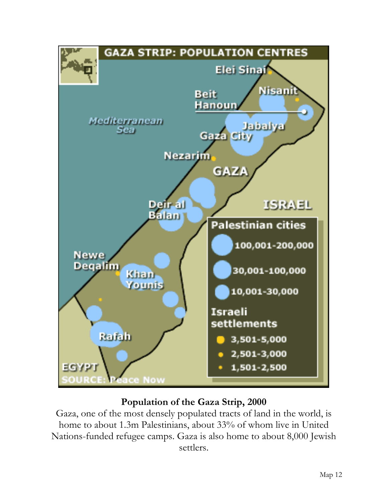

# **Population of the Gaza Strip, 2000**

Gaza, one of the most densely populated tracts of land in the world, is home to about 1.3m Palestinians, about 33% of whom live in United Nations-funded refugee camps. Gaza is also home to about 8,000 Jewish settlers.